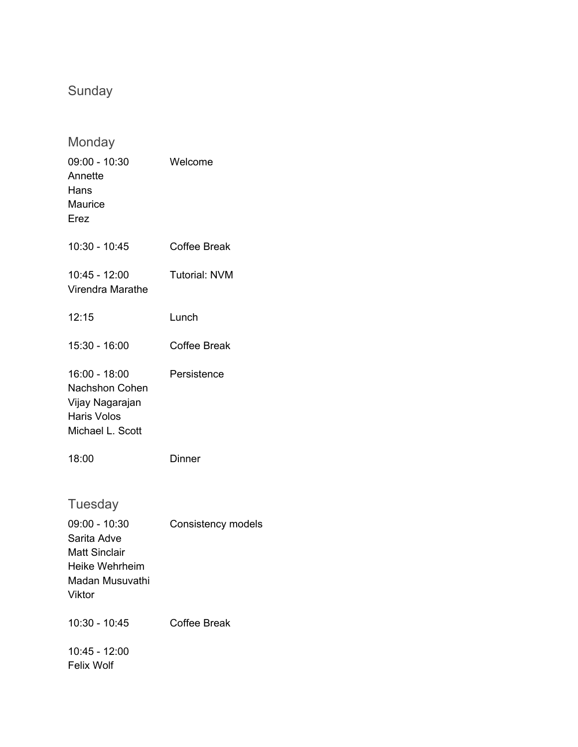## Sunday

| Monday                                                                                                           |                      |
|------------------------------------------------------------------------------------------------------------------|----------------------|
| $09:00 - 10:30$<br>Annette<br>Hans<br><b>Maurice</b><br>Erez                                                     | Welcome              |
| 10:30 - 10:45                                                                                                    | <b>Coffee Break</b>  |
| 10:45 - 12:00<br>Virendra Marathe                                                                                | <b>Tutorial: NVM</b> |
| 12:15                                                                                                            | Lunch                |
| 15:30 - 16:00                                                                                                    | <b>Coffee Break</b>  |
| 16:00 - 18:00<br><b>Nachshon Cohen</b><br>Vijay Nagarajan<br><b>Haris Volos</b><br>Michael L. Scott              | Persistence          |
| 18:00                                                                                                            | Dinner               |
| Tuesday<br>$09:00 - 10:30$<br>Sarita Adve<br><b>Matt Sinclair</b><br>Heike Wehrheim<br>Madan Musuvathi<br>Viktor | Consistency models   |
| 10:30 - 10:45                                                                                                    | <b>Coffee Break</b>  |
| 10:45 - 12:00<br><b>Felix Wolf</b>                                                                               |                      |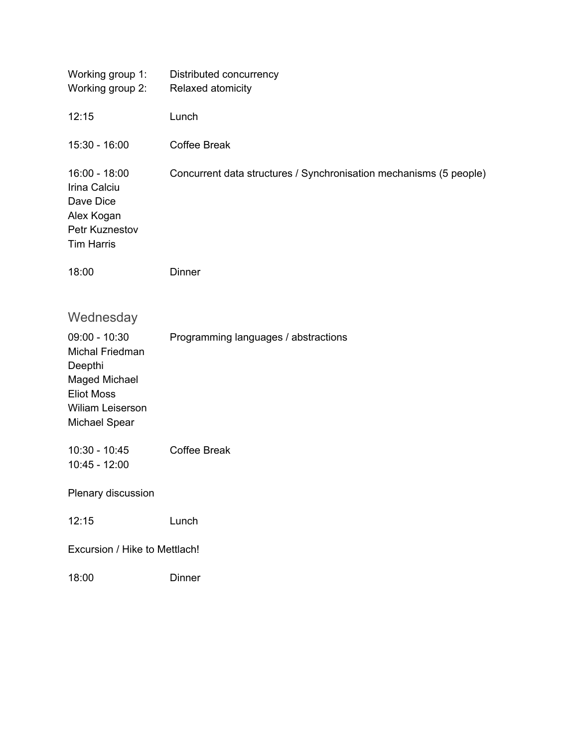| Working group 1:<br>Working group 2:                                                                                            | Distributed concurrency<br>Relaxed atomicity                       |  |
|---------------------------------------------------------------------------------------------------------------------------------|--------------------------------------------------------------------|--|
| 12:15                                                                                                                           | Lunch                                                              |  |
| $15:30 - 16:00$                                                                                                                 | <b>Coffee Break</b>                                                |  |
| $16:00 - 18:00$<br>Irina Calciu<br>Dave Dice<br>Alex Kogan<br>Petr Kuznestov<br><b>Tim Harris</b>                               | Concurrent data structures / Synchronisation mechanisms (5 people) |  |
| 18:00                                                                                                                           | <b>Dinner</b>                                                      |  |
| Wednesday                                                                                                                       |                                                                    |  |
| $09:00 - 10:30$<br>Michal Friedman<br>Deepthi<br>Maged Michael<br><b>Eliot Moss</b><br>Wiliam Leiserson<br><b>Michael Spear</b> | Programming languages / abstractions                               |  |
| $10:30 - 10:45$<br>$10:45 - 12:00$                                                                                              | <b>Coffee Break</b>                                                |  |
| Plenary discussion                                                                                                              |                                                                    |  |
| 12:15                                                                                                                           | Lunch                                                              |  |
| Excursion / Hike to Mettlach!                                                                                                   |                                                                    |  |
| 18:00                                                                                                                           | <b>Dinner</b>                                                      |  |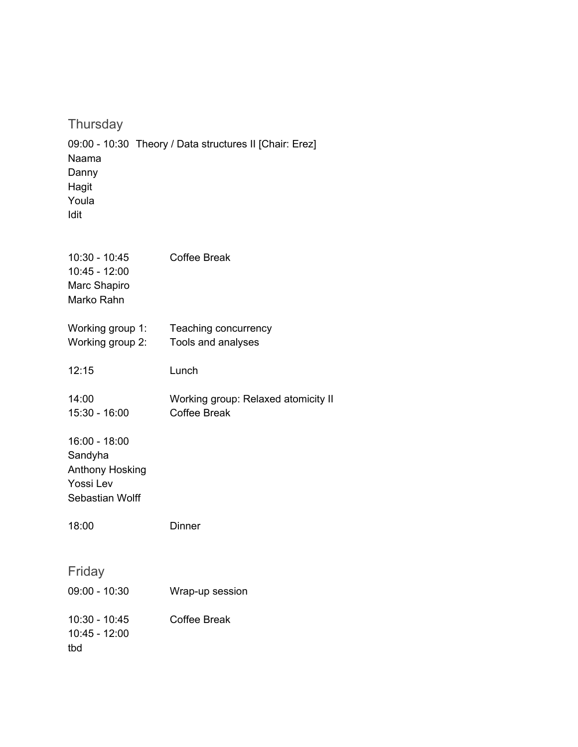**Thursday** 09:00 - 10:30 Theory / Data structures II [Chair: Erez] Naama Danny Hagit Youla Idit

| $10:30 - 10:45$<br>$10:45 - 12:00$<br>Marc Shapiro<br>Marko Rahn            | <b>Coffee Break</b>                                        |
|-----------------------------------------------------------------------------|------------------------------------------------------------|
| Working group 1:<br>Working group 2:                                        | Teaching concurrency<br>Tools and analyses                 |
| 12:15                                                                       | Lunch                                                      |
| 14:00<br>$15:30 - 16:00$                                                    | Working group: Relaxed atomicity II<br><b>Coffee Break</b> |
| 16:00 - 18:00<br>Sandyha<br>Anthony Hosking<br>Yossi Lev<br>Sebastian Wolff |                                                            |
| 18:00                                                                       | Dinner                                                     |
| Friday<br>09:00 - 10:30                                                     | Wrap-up session                                            |
| $10:30 - 10:45$<br>10:45 - 12:00<br>tbd                                     | <b>Coffee Break</b>                                        |